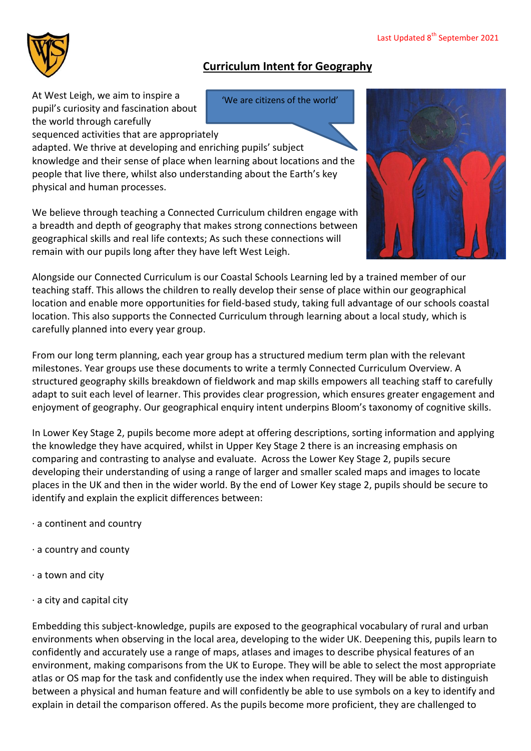

## **Curriculum Intent for Geography**

At West Leigh, we aim to inspire a pupil's curiosity and fascination about the world through carefully

'We are citizens of the world'

sequenced activities that are appropriately adapted. We thrive at developing and enriching pupils' subject knowledge and their sense of place when learning about locations and the people that live there, whilst also understanding about the Earth's key physical and human processes.

We believe through teaching a Connected Curriculum children engage with a breadth and depth of geography that makes strong connections between geographical skills and real life contexts; As such these connections will remain with our pupils long after they have left West Leigh.



Alongside our Connected Curriculum is our Coastal Schools Learning led by a trained member of our teaching staff. This allows the children to really develop their sense of place within our geographical location and enable more opportunities for field-based study, taking full advantage of our schools coastal location. This also supports the Connected Curriculum through learning about a local study, which is carefully planned into every year group.

From our long term planning, each year group has a structured medium term plan with the relevant milestones. Year groups use these documents to write a termly Connected Curriculum Overview. A structured geography skills breakdown of fieldwork and map skills empowers all teaching staff to carefully adapt to suit each level of learner. This provides clear progression, which ensures greater engagement and enjoyment of geography. Our geographical enquiry intent underpins Bloom's taxonomy of cognitive skills.

In Lower Key Stage 2, pupils become more adept at offering descriptions, sorting information and applying the knowledge they have acquired, whilst in Upper Key Stage 2 there is an increasing emphasis on comparing and contrasting to analyse and evaluate. Across the Lower Key Stage 2, pupils secure developing their understanding of using a range of larger and smaller scaled maps and images to locate places in the UK and then in the wider world. By the end of Lower Key stage 2, pupils should be secure to identify and explain the explicit differences between:

- · a continent and country
- · a country and county
- · a town and city
- · a city and capital city

Embedding this subject-knowledge, pupils are exposed to the geographical vocabulary of rural and urban environments when observing in the local area, developing to the wider UK. Deepening this, pupils learn to confidently and accurately use a range of maps, atlases and images to describe physical features of an environment, making comparisons from the UK to Europe. They will be able to select the most appropriate atlas or OS map for the task and confidently use the index when required. They will be able to distinguish between a physical and human feature and will confidently be able to use symbols on a key to identify and explain in detail the comparison offered. As the pupils become more proficient, they are challenged to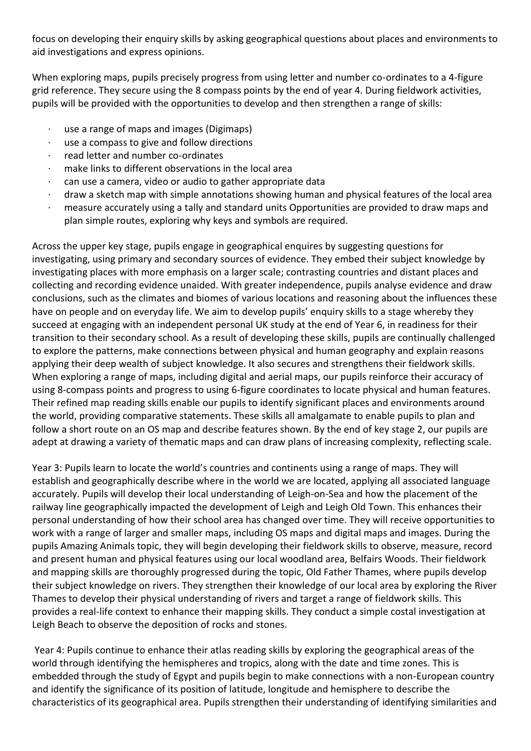focus on developing their enquiry skills by asking geographical questions about places and environments to aid investigations and express opinions.

When exploring maps, pupils precisely progress from using letter and number co-ordinates to a 4-figure grid reference. They secure using the 8 compass points by the end of year 4. During fieldwork activities, pupils will be provided with the opportunities to develop and then strengthen a range of skills:

- use a range of maps and images (Digimaps)
- use a compass to give and follow directions
- · read letter and number co-ordinates
- make links to different observations in the local area
- can use a camera, video or audio to gather appropriate data
- · draw a sketch map with simple annotations showing human and physical features of the local area
- · measure accurately using a tally and standard units Opportunities are provided to draw maps and plan simple routes, exploring why keys and symbols are required.

Across the upper key stage, pupils engage in geographical enquires by suggesting questions for investigating, using primary and secondary sources of evidence. They embed their subject knowledge by investigating places with more emphasis on a larger scale; contrasting countries and distant places and collecting and recording evidence unaided. With greater independence, pupils analyse evidence and draw conclusions, such as the climates and biomes of various locations and reasoning about the influences these have on people and on everyday life. We aim to develop pupils' enquiry skills to a stage whereby they succeed at engaging with an independent personal UK study at the end of Year 6, in readiness for their transition to their secondary school. As a result of developing these skills, pupils are continually challenged to explore the patterns, make connections between physical and human geography and explain reasons applying their deep wealth of subject knowledge. It also secures and strengthens their fieldwork skills. When exploring a range of maps, including digital and aerial maps, our pupils reinforce their accuracy of using 8-compass points and progress to using 6-figure coordinates to locate physical and human features. Their refined map reading skills enable our pupils to identify significant places and environments around the world, providing comparative statements. These skills all amalgamate to enable pupils to plan and follow a short route on an OS map and describe features shown. By the end of key stage 2, our pupils are adept at drawing a variety of thematic maps and can draw plans of increasing complexity, reflecting scale.

Year 3: Pupils learn to locate the world's countries and continents using a range of maps. They will establish and geographically describe where in the world we are located, applying all associated language accurately. Pupils will develop their local understanding of Leigh-on-Sea and how the placement of the railway line geographically impacted the development of Leigh and Leigh Old Town. This enhances their personal understanding of how their school area has changed over time. They will receive opportunities to work with a range of larger and smaller maps, including OS maps and digital maps and images. During the pupils Amazing Animals topic, they will begin developing their fieldwork skills to observe, measure, record and present human and physical features using our local woodland area, Belfairs Woods. Their fieldwork and mapping skills are thoroughly progressed during the topic, Old Father Thames, where pupils develop their subject knowledge on rivers. They strengthen their knowledge of our local area by exploring the River Thames to develop their physical understanding of rivers and target a range of fieldwork skills. This provides a real-life context to enhance their mapping skills. They conduct a simple costal investigation at Leigh Beach to observe the deposition of rocks and stones.

Year 4: Pupils continue to enhance their atlas reading skills by exploring the geographical areas of the world through identifying the hemispheres and tropics, along with the date and time zones. This is embedded through the study of Egypt and pupils begin to make connections with a non-European country and identify the significance of its position of latitude, longitude and hemisphere to describe the characteristics of its geographical area. Pupils strengthen their understanding of identifying similarities and